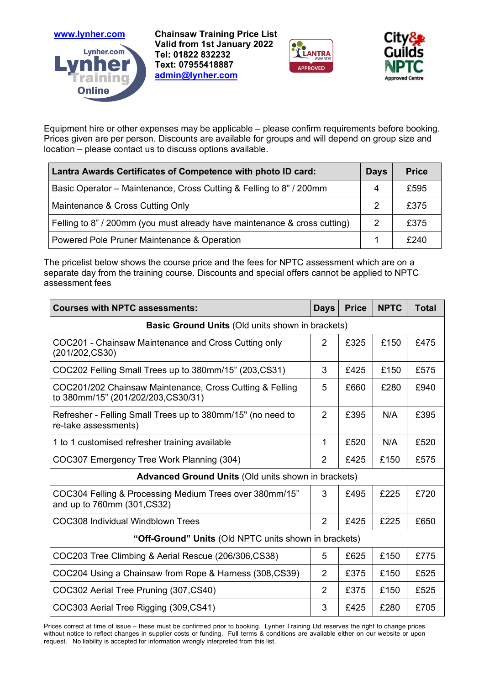

**www.lynher.com Chainsaw Training Price List Valid from 1st January 2022 Tel: 01822 832232 Text: 07955418887 admin@lynher.com**





Equipment hire or other expenses may be applicable – please confirm requirements before booking. Prices given are per person. Discounts are available for groups and will depend on group size and location – please contact us to discuss options available.

| Lantra Awards Certificates of Competence with photo ID card:              |   | <b>Price</b> |
|---------------------------------------------------------------------------|---|--------------|
| Basic Operator – Maintenance, Cross Cutting & Felling to 8" / 200mm       | 4 | £595         |
| Maintenance & Cross Cutting Only                                          | 2 | £375         |
| Felling to 8" / 200mm (you must already have maintenance & cross cutting) | 2 | £375         |
| Powered Pole Pruner Maintenance & Operation                               |   | £240         |

The pricelist below shows the course price and the fees for NPTC assessment which are on a separate day from the training course. Discounts and special offers cannot be applied to NPTC assessment fees

| <b>Courses with NPTC assessments:</b>                                                           | <b>Days</b>    | <b>Price</b> | <b>NPTC</b> | <b>Total</b> |  |  |  |
|-------------------------------------------------------------------------------------------------|----------------|--------------|-------------|--------------|--|--|--|
| <b>Basic Ground Units (Old units shown in brackets)</b>                                         |                |              |             |              |  |  |  |
| COC201 - Chainsaw Maintenance and Cross Cutting only<br>(201/202, CS30)                         | $\overline{2}$ | £325         | £150        | £475         |  |  |  |
| COC202 Felling Small Trees up to 380mm/15" (203, CS31)                                          | 3              | £425         | £150        | £575         |  |  |  |
| COC201/202 Chainsaw Maintenance, Cross Cutting & Felling<br>to 380mm/15" (201/202/203, CS30/31) | 5              | £660         | £280        | £940         |  |  |  |
| Refresher - Felling Small Trees up to 380mm/15" (no need to<br>re-take assessments)             | $\overline{2}$ | £395         | N/A         | £395         |  |  |  |
| 1 to 1 customised refresher training available                                                  | 1              | £520         | N/A         | £520         |  |  |  |
| COC307 Emergency Tree Work Planning (304)                                                       | $\overline{2}$ | £425         | £150        | £575         |  |  |  |
| <b>Advanced Ground Units (Old units shown in brackets)</b>                                      |                |              |             |              |  |  |  |
| COC304 Felling & Processing Medium Trees over 380mm/15"<br>and up to 760mm (301, CS32)          | 3              | £495         | £225        | £720         |  |  |  |
| COC308 Individual Windblown Trees                                                               | $\overline{2}$ | £425         | £225        | £650         |  |  |  |
| "Off-Ground" Units (Old NPTC units shown in brackets)                                           |                |              |             |              |  |  |  |
| COC203 Tree Climbing & Aerial Rescue (206/306,CS38)                                             | 5              | £625         | £150        | £775         |  |  |  |
| COC204 Using a Chainsaw from Rope & Harness (308, CS39)                                         | $\overline{2}$ | £375         | £150        | £525         |  |  |  |
| COC302 Aerial Tree Pruning (307, CS40)                                                          | $\overline{2}$ | £375         | £150        | £525         |  |  |  |
| COC303 Aerial Tree Rigging (309, CS41)                                                          | 3              | £425         | £280        | £705         |  |  |  |

Prices correct at time of issue – these must be confirmed prior to booking. Lynher Training Ltd reserves the right to change prices without notice to reflect changes in supplier costs or funding. Full terms & conditions are available either on our website or upon request. No liability is accepted for information wrongly interpreted from this list.